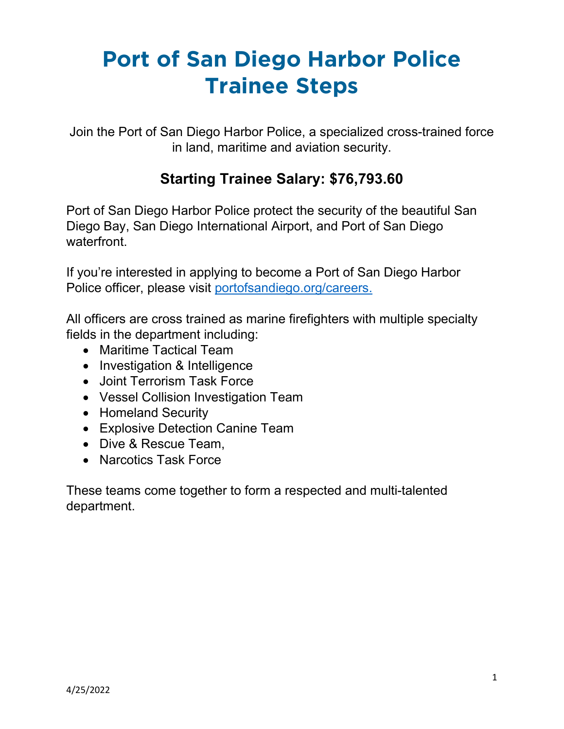Join the Port of San Diego Harbor Police, a specialized cross-trained force in land, maritime and aviation security.

### **Starting Trainee Salary: \$76,793.60**

Port of San Diego Harbor Police protect the security of the beautiful San Diego Bay, San Diego International Airport, and Port of San Diego waterfront.

If you're interested in applying to become a Port of San Diego Harbor Police officer, please visit [portofsandiego.org/careers.](https://www.portofsandiego.org/people/careers) 

All officers are cross trained as marine firefighters with multiple specialty fields in the department including:

- Maritime Tactical Team
- Investigation & Intelligence
- Joint Terrorism Task Force
- Vessel Collision Investigation Team
- Homeland Security
- Explosive Detection Canine Team
- Dive & Rescue Team,
- Narcotics Task Force

These teams come together to form a respected and multi-talented department.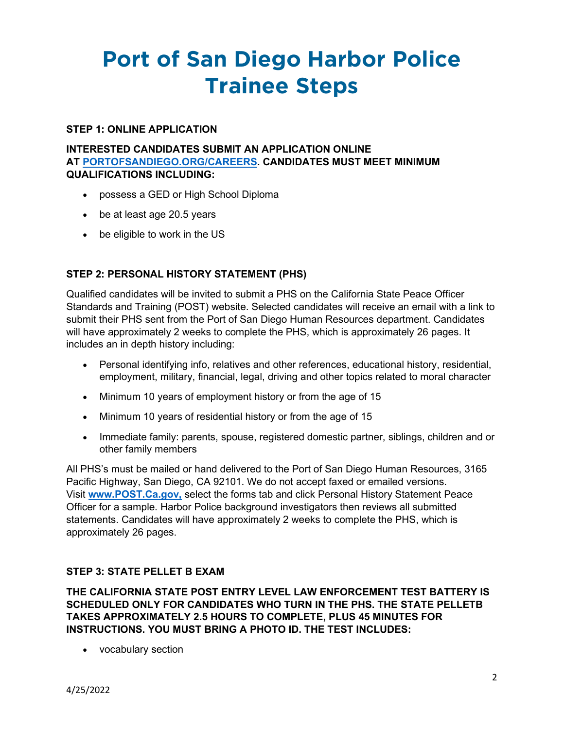### **STEP 1: ONLINE APPLICATION**

### **INTERESTED CANDIDATES SUBMIT AN APPLICATION ONLINE AT [PORTOFSANDIEGO.ORG/CAREERS.](https://www.governmentjobs.com/careers/portofsd) CANDIDATES MUST MEET MINIMUM QUALIFICATIONS INCLUDING:**

- possess a GED or High School Diploma
- be at least age 20.5 years
- be eligible to work in the US

### **STEP 2: PERSONAL HISTORY STATEMENT (PHS)**

Qualified candidates will be invited to submit a PHS on the California State Peace Officer Standards and Training (POST) website. Selected candidates will receive an email with a link to submit their PHS sent from the Port of San Diego Human Resources department. Candidates will have approximately 2 weeks to complete the PHS, which is approximately 26 pages. It includes an in depth history including:

- Personal identifying info, relatives and other references, educational history, residential, employment, military, financial, legal, driving and other topics related to moral character
- Minimum 10 years of employment history or from the age of 15
- Minimum 10 years of residential history or from the age of 15
- Immediate family: parents, spouse, registered domestic partner, siblings, children and or other family members

All PHS's must be mailed or hand delivered to the Port of San Diego Human Resources, 3165 Pacific Highway, San Diego, CA 92101. We do not accept faxed or emailed versions. Visit **[www.POST.Ca.gov,](http://www.post.ca.gov/)** select the forms tab and click Personal History Statement Peace Officer for a sample. Harbor Police background investigators then reviews all submitted statements. Candidates will have approximately 2 weeks to complete the PHS, which is approximately 26 pages.

### **STEP 3: STATE PELLET B EXAM**

**THE CALIFORNIA STATE POST ENTRY LEVEL LAW ENFORCEMENT TEST BATTERY IS SCHEDULED ONLY FOR CANDIDATES WHO TURN IN THE PHS. THE STATE PELLETB TAKES APPROXIMATELY 2.5 HOURS TO COMPLETE, PLUS 45 MINUTES FOR INSTRUCTIONS. YOU MUST BRING A PHOTO ID. THE TEST INCLUDES:**

• vocabulary section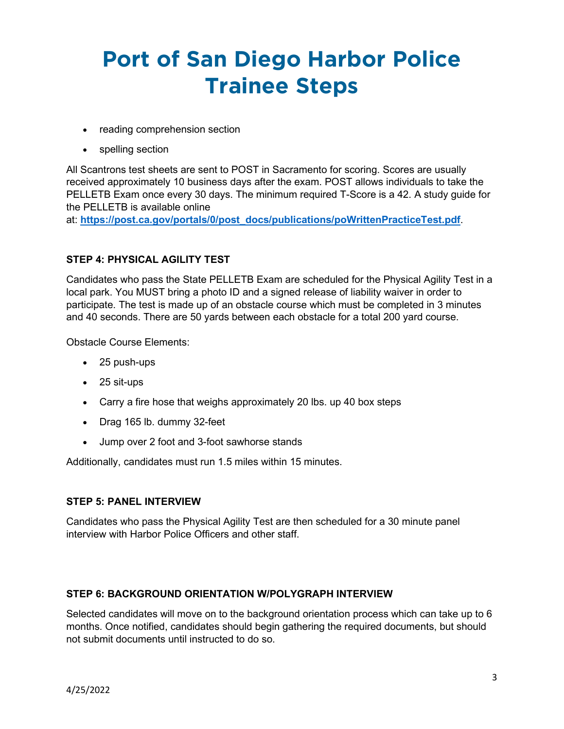- reading comprehension section
- spelling section

All Scantrons test sheets are sent to POST in Sacramento for scoring. Scores are usually received approximately 10 business days after the exam. POST allows individuals to take the PELLETB Exam once every 30 days. The minimum required T-Score is a 42. A study guide for the PELLETB is available online

at: **[https://post.ca.gov/portals/0/post\\_docs/publications/poWrittenPracticeTest.pdf](https://post.ca.gov/portals/0/post_docs/publications/poWrittenPracticeTest.pdf)**.

### **STEP 4: PHYSICAL AGILITY TEST**

Candidates who pass the State PELLETB Exam are scheduled for the Physical Agility Test in a local park. You MUST bring a photo ID and a signed release of liability waiver in order to participate. The test is made up of an obstacle course which must be completed in 3 minutes and 40 seconds. There are 50 yards between each obstacle for a total 200 yard course.

Obstacle Course Elements:

- 25 push-ups
- 25 sit-ups
- Carry a fire hose that weighs approximately 20 lbs. up 40 box steps
- Drag 165 lb. dummy 32-feet
- Jump over 2 foot and 3-foot sawhorse stands

Additionally, candidates must run 1.5 miles within 15 minutes.

### **STEP 5: PANEL INTERVIEW**

Candidates who pass the Physical Agility Test are then scheduled for a 30 minute panel interview with Harbor Police Officers and other staff.

#### **STEP 6: BACKGROUND ORIENTATION W/POLYGRAPH INTERVIEW**

Selected candidates will move on to the background orientation process which can take up to 6 months. Once notified, candidates should begin gathering the required documents, but should not submit documents until instructed to do so.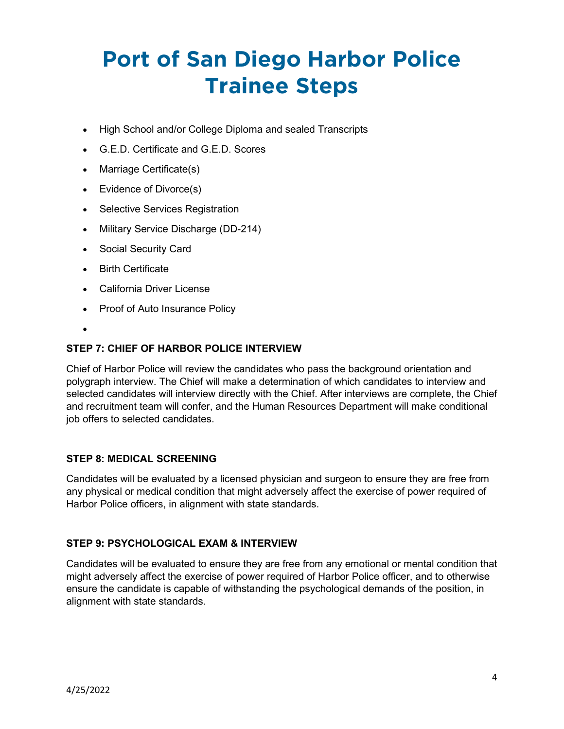- High School and/or College Diploma and sealed Transcripts
- G.E.D. Certificate and G.E.D. Scores
- Marriage Certificate(s)
- Evidence of Divorce(s)
- Selective Services Registration
- Military Service Discharge (DD-214)
- Social Security Card
- Birth Certificate
- California Driver License
- Proof of Auto Insurance Policy
- •

### **STEP 7: CHIEF OF HARBOR POLICE INTERVIEW**

Chief of Harbor Police will review the candidates who pass the background orientation and polygraph interview. The Chief will make a determination of which candidates to interview and selected candidates will interview directly with the Chief. After interviews are complete, the Chief and recruitment team will confer, and the Human Resources Department will make conditional job offers to selected candidates.

### **STEP 8: MEDICAL SCREENING**

Candidates will be evaluated by a licensed physician and surgeon to ensure they are free from any physical or medical condition that might adversely affect the exercise of power required of Harbor Police officers, in alignment with state standards.

### **STEP 9: PSYCHOLOGICAL EXAM & INTERVIEW**

Candidates will be evaluated to ensure they are free from any emotional or mental condition that might adversely affect the exercise of power required of Harbor Police officer, and to otherwise ensure the candidate is capable of withstanding the psychological demands of the position, in alignment with state standards.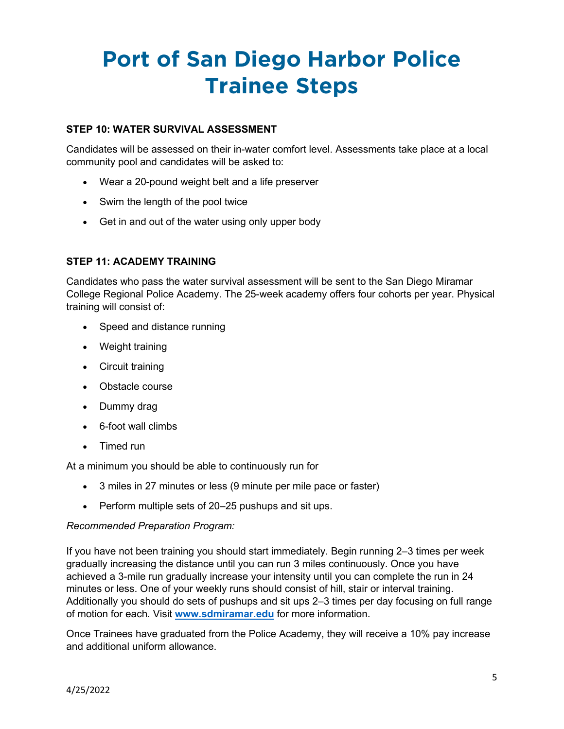### **STEP 10: WATER SURVIVAL ASSESSMENT**

Candidates will be assessed on their in-water comfort level. Assessments take place at a local community pool and candidates will be asked to:

- Wear a 20-pound weight belt and a life preserver
- Swim the length of the pool twice
- Get in and out of the water using only upper body

### **STEP 11: ACADEMY TRAINING**

Candidates who pass the water survival assessment will be sent to the San Diego Miramar College Regional Police Academy. The 25-week academy offers four cohorts per year. Physical training will consist of:

- Speed and distance running
- Weight training
- Circuit training
- Obstacle course
- Dummy drag
- 6-foot wall climbs
- Timed run

At a minimum you should be able to continuously run for

- 3 miles in 27 minutes or less (9 minute per mile pace or faster)
- Perform multiple sets of 20–25 pushups and sit ups.

#### *Recommended Preparation Program:*

If you have not been training you should start immediately. Begin running 2–3 times per week gradually increasing the distance until you can run 3 miles continuously. Once you have achieved a 3-mile run gradually increase your intensity until you can complete the run in 24 minutes or less. One of your weekly runs should consist of hill, stair or interval training. Additionally you should do sets of pushups and sit ups 2–3 times per day focusing on full range of motion for each. Visit **[www.sdmiramar.edu](http://www.sdmiramar.edu/programs/administration-justice)** for more information.

Once Trainees have graduated from the Police Academy, they will receive a 10% pay increase and additional uniform allowance.